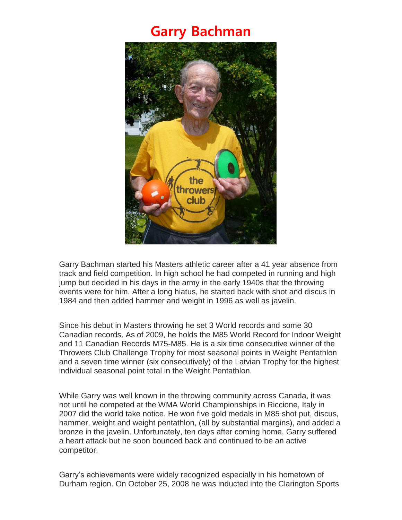## **Garry Bachman**



Garry Bachman started his Masters athletic career after a 41 year absence from track and field competition. In high school he had competed in running and high jump but decided in his days in the army in the early 1940s that the throwing events were for him. After a long hiatus, he started back with shot and discus in 1984 and then added hammer and weight in 1996 as well as javelin.

Since his debut in Masters throwing he set 3 World records and some 30 Canadian records. As of 2009, he holds the M85 World Record for Indoor Weight and 11 Canadian Records M75-M85. He is a six time consecutive winner of the Throwers Club Challenge Trophy for most seasonal points in Weight Pentathlon and a seven time winner (six consecutively) of the Latvian Trophy for the highest individual seasonal point total in the Weight Pentathlon.

While Garry was well known in the throwing community across Canada, it was not until he competed at the WMA World Championships in Riccione, Italy in 2007 did the world take notice. He won five gold medals in M85 shot put, discus, hammer, weight and weight pentathlon, (all by substantial margins), and added a bronze in the javelin. Unfortunately, ten days after coming home, Garry suffered a heart attack but he soon bounced back and continued to be an active competitor.

Garry's achievements were widely recognized especially in his hometown of Durham region. On October 25, 2008 he was inducted into the Clarington Sports